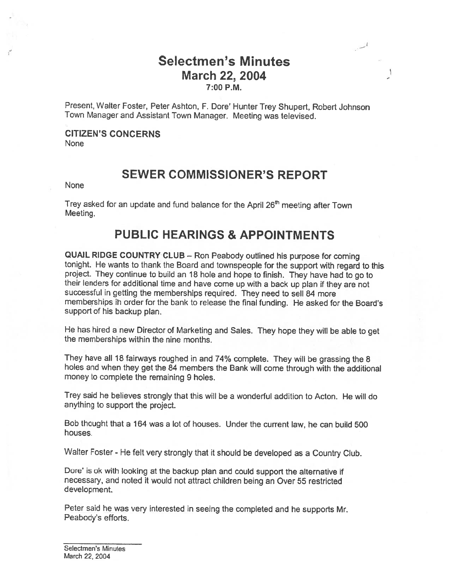## Selectmen's Minutes March 22, 2004 7:00 P.M.

 $\mathbf{I}$ 

Present, Walter Foster, Peter Ashton, F. Dore' Hunter Trey Shupert, Robert Johnson Town Manager and Assistant Town Manager. Meeting was televised.

# CITIZEN'S CONCERNS

None

## SEWER COMMISSIONER'S REPORT

None

Trey asked for an update and fund balance for the April 26<sup>th</sup> meeting after Town Meeting.

# PUBLIC HEARINGS & APPOINTMENTS

QUAIL RIDGE COUNTRY CLUB — Ron Peabody outlined his purpose for coming tonight. He wants to thank the Board and townspeople for the support with regard to this project. They continue to build an <sup>18</sup> hole and hope to finish. They have had to go to their lenders for additional time and have come up with <sup>a</sup> back up <sup>p</sup>lan if they are not successful in getting the memberships required. They need to sell <sup>84</sup> more memberships ih order for the bank to release the final funding. He asked for the Board's support of his backup plan.

He has hired <sup>a</sup> new Director of Marketing and Sales. They hope they will be able to get the memberships within the nine months.

They have all <sup>18</sup> fairways roughed in and 74% complete. They will be grassing the <sup>8</sup> holes and when they get the <sup>84</sup> members the Bank will come through with the additional money to complete the remaining 9 holes.

Trey said he believes strongly that this will be <sup>a</sup> wonderful addition to Acton. He will do anything to support the project.

Bob thought that <sup>a</sup> 164 was <sup>a</sup> lot of houses. Under the current law, he can build 500 houses.

Walter Foster - He felt very strongly that it should be developed as <sup>a</sup> Country Club.

Dore' is ok with looking at the backup <sup>p</sup>lan and could support the alternative if necessary, and noted it would not attract children being an Over 55 restricted development.

Peter said he was very interested in seeing the completed and he supports Mr. Peabody's efforts.

Selectmen's Minutes March 22, 2004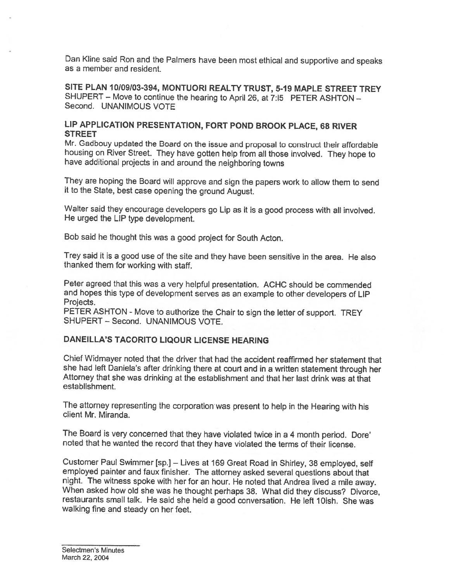Dan Kline said Ron and the Palmers have been most ethical and supportive and speaks as <sup>a</sup> member and resident.

SITE PLAN 10109/03-394, MONTUORI REALTY TRUST, 5-19 MAPLE STREET TREY SHUPERT — Move to continue the hearing to April 26, at 7:15 PETER ASHTON — Second. UNANIMOUS VOTE

## LIP APPLICATION PRESENTATION, FORT POND BROOK PLACE, <sup>68</sup> RIVER **STREET**

Mr. Gadbouy updated the Board on the issue and proposal to construct their affordable housing on Rivet Street. They have gotten help from all those involved. They hope to have additional projects in and around the neighboring towns

They are hoping the Board will approve and sign the papers work to allow them to send it to the State, best case opening the ground August.

Walter said they encourage developers go Lip as it is <sup>a</sup> good process with all involved. He urged the LIP type development.

Bob said he thought this was <sup>a</sup> good project for South Acton.

Trey said it is <sup>a</sup> good use of the site and they have been sensitive in the area. He also thanked them for working with staff.

Peter agreed that this was <sup>a</sup> very helpful presentation. ACHC should be commended and hopes this type of development serves as an example to other developers of LIP Projects.

PETER ASHTON - Move to authorize the Chair to sign the letter of support. TREY SHUPERT - Second. UNANIMOUS VOTE.

#### DANEILLA'S TACORITO LIQOUR LICENSE HEARING

Chief Widmayer noted that the driver that had the accident reaffirmed her statement that<br>she had left Daniela's after drinking there at court and in a written statement through her Attorney that she was drinking at the establishment and that her last drink was at that establishment.

The attorney representing the corporation was present to help in the Hearing with his client Mr. Miranda.

The Board is very concerned that they have violated twice in <sup>a</sup> <sup>4</sup> month period. Dore' noted that he wanted the record that they have violated the terms of their license.

Customer Paul Swimmer [sp.] — Lives at <sup>169</sup> Great Road in Shirley, <sup>38</sup> employed, self employed painter and faux finisher. The attorney asked several questions about that When asked how old she was he thought perhaps 38. What did they discuss? Divorce, restaurants small talk. He said she held a good conversation. He left 10ish. She was walking fine and steady on her feet.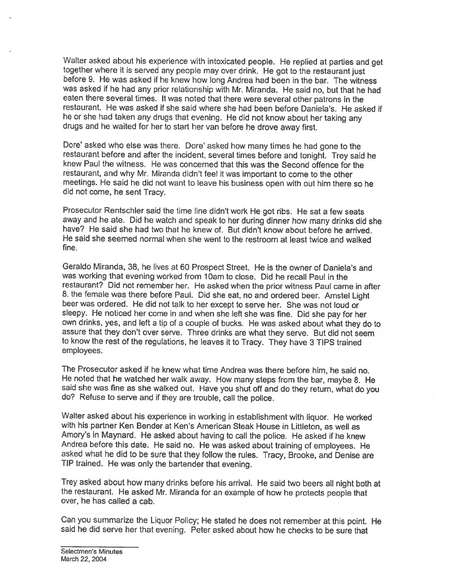Walter asked about his experience with intoxicated people. He replied at parties and get together where it is served any people may over drink. He got to the restaurant just before 9. He was asked if he knew how long Andrea had been in the bar. The witness was asked if he had any prior relationship with Mr. Miranda. He said no, but that he had eaten there several times. It was noted that there were several other patrons in the restaurant. He was asked if she said where she had been before Daniela's. He asked if he or she had taken any drugs that evening. He did not know about her taking any drugs and he waited for her to start her van before he drove away first.

Dore' asked who else was there. Dore' asked how many times he had gone to the restaurant before and after the incident, several times before and tonight. Trey said he knew Paul the witness. He was concerned that this was the Second offence for the restaurant, and why Mr. Miranda didn't feel it was important to come to the other meetings. He said he did not want to leave his business open with out him there so he did not come, he sent Tracy.

Prosecutor Rentschler said the time line didn't work He got ribs. He sat <sup>a</sup> few seats away and he ate. Did he watch and speak to her during dinner how many drinks did she have? He said she had two that he knew of. But didn't know about before he arrived. He said she seemed normal when she went to the restroom at least twice and walked fine.

Geraldo Miranda, 38, he lives at <sup>60</sup> Prospect Street. He is the owner of Daniela's and was working that evening worked from 10am to close. Did he recall Paul in the restaurant? Did not remember her. He asked when the prior witness Paul came in after 8. the female was there before Paul. Did she eat, no and ordered beer. Amstel Light beer was ordered. He did not talk to her except to serve her. She was not loud or sleepy. He noticed her come in and when she left she was fine. Did she pay for her own drinks, yes, and left <sup>a</sup> tip of <sup>a</sup> couple of bucks. He was asked about what they do to assure that they don't over serve. Three drinks are what they serve. But did not seem to know the rest of the regulations, he leaves it to Tracy. They have <sup>3</sup> TIPS trained employees.

The Prosecutor asked if he knew what time Andrea was there before him, he said no. He noted that he watched her walk away. How many steps from the bar, maybe 8. He said she was fine as she walked out. Have you shut off and do they return, what do you do? Refuse to serve and if they are trouble, call the

Walter asked about his experience in working in establishment with liquor. He worked with his partner Ken Bender at Ken's American Steak House in Littleton, as well as Amory's in Maynard. He asked about having to call the police. He asked if he knew Andrea before this date. He said no. He was asked about training of employees. He asked what he did to be sure that they follow the rules. Tracy, Brooke, and Denise are TIP trained. He was only the bartender that evening.

Trey asked about how many drinks before his arrival. He said two beers all night both at the restaurant. He asked Mr. Miranda for an example of how he protects people that over, he has called <sup>a</sup> cab.

Can you summarize the Liquor Policy; He stated he does not remember at this point. He said he did serve her that evening. Peter asked about how he checks to be sure that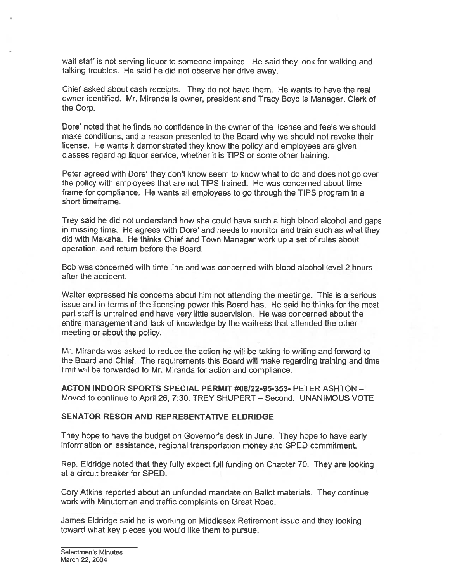wait staff is not serving liquor to someone impaired. He said they look for walking and talking troubles. He said he did not observe her drive away.

Chief asked about cash receipts. They do not have them. He wants to have the real owner identified. Mr. Miranda is owner, president and Tracy Boyd is Manager, Clerk of the Corp.

Dote' noted that he finds no confidence in the owner of the license and feels we should make conditions, and <sup>a</sup> reason presented to the Board why we should not revoke their license. He wants it demonstrated they know the policy and employees are <sup>g</sup>iven classes regarding liquor service, whether it is TIPS or some other training.

Peter agreed with Dore' they don't know seem to know what to do and does not go over the policy with employees that are not TIPS trained. He was concerned about time frame for compliance. He wants all employees to go through the TIPS program in <sup>a</sup> short timeframe.

Trey said he did not understand how she could have such <sup>a</sup> high blood alcohol and gaps in missing time. He agrees with Dore' and needs to monitor and train such as what they did with Makaha. He thinks Chief and Town Manager work up <sup>a</sup> set of rules about operation, and return before the Board.

Bob was concerned with time line and was concerned with blood alcohol level 2 hours after the accident.

Walter expressed his concerns about him not attending the meetings. This is <sup>a</sup> serious issue and in terms of the licensing power this Board has. He said he thinks for the most par<sup>t</sup> staff is untrained and have very little supervision. He was concerned about the entire managemen<sup>t</sup> and lack of knowledge by the waitress that attended the other meeting or about the policy.

Mr. Miranda was asked to reduce the action he will be taking to writing and forward to the Board and Chief. The requirements this Board will make regarding training and time limit will be forwarded to Mr. Miranda for action and compliance.

ACTON INDOOR SPORTS SPECIAL PERMIT #08/22-95-353- PETER ASHTON — Moved to continue to April 26, 7:30. TREY SHUPERT — Second. UNANIMOUS VOTE

#### SENATOR RESOR AND REPRESENTATIVE ELDRIDGE

They hope to have the budget on Governor's desk in June. They hope to have early information on assistance, regional transportation money and SPED commitment.

Rep. Eldridge noted that they fully expect full funding on Chapter 70. They are looking at <sup>a</sup> circuit breaker for SPED.

Cory Atkins reported about an unfunded mandate on Ballot materials. They continue work with Minuteman and traffic complaints on Great Road.

James Eldridge said he is working on Middlesex Retirement issue and they looking toward what key pieces you would like them to pursue.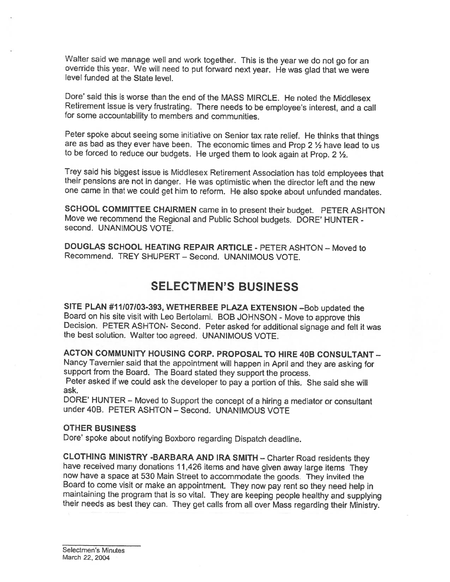Walter said we manage well and work together. This is the year we do not go for an override this year. We will need to put forward next year. He was glad that we were level funded at the State level.

Dore' said this is worse than the end of the MASS MIRCLE. He noted the Middlesex Retirement issue is very frustrating. There needs to be employee's interest, and <sup>a</sup> call for some accountability to members and communities.

Peter spoke about seeing some initiative on Senior tax rate relief. He thinks that things are as bad as they ever have been. The economic times and Prop 2  $\frac{1}{2}$  have lead to us to be forced to reduce our budgets. He urged them to look again at Prop. 2 1/2.

Trey said his biggest issue is Middlesex Retirement Association has told employees that their pensions are not in danger. He was optimistic when the director left and the new one came in that we could get him to reform. He also spoke about unfunded mandates.

SCHOOL COMMITTEE CHAIRMEN came in to present their budget. PETER ASHTON Move we recommend the Regional and Public School budgets. DORE' HUNTER second. UNANIMOUS VOTE.

DOUGLAS SCHOOL HEATING REPAIR ARTICLE - PETER ASHTON - Moved to Recommend. TREY SHUPERT — Second. UNANIMOUS VOTE.

## SELECTMEN'S BUSINESS

SITE PLAN #11/07/03-393, WETHERBEE PLAZA EXTENSION —Bob updated the Board on his site visit with Leo Bertolami. BOB JOHNSON - Move to approve this Decision. PETER ASHTON- Second. Peter asked for additional signage and felt it was the best solution. Walter too agreed. UNANIMOUS VOTE.

ACTON COMMUNITY HOUSING CORP. PROPOSAL TO HIRE 40B CONSULTANT — Nancy Tavernier said that the appointment will happen in April and they are asking for support from the Board. The Board stated they support the process. Peter asked if we could ask the developer to pay <sup>a</sup> portion of this. She said she will ask.

DORE' HUNTER — Moved to Support the concept of <sup>a</sup> hiring <sup>a</sup> mediator or consultant under 40B. PETER ASHTON — Second. UNANIMOUS VOTE

#### OTHER BUSINESS

Dore' spoke about notifying Boxboro regarding Dispatch deadline.

CLOTHING MINISTRY -BARBARA AND IRA SMITH — Charter Road residents they have received many donations <sup>1</sup> 1,426 items and have <sup>g</sup>iven away large items They now have <sup>a</sup> space at <sup>530</sup> Main Street to accommodate the goods. They invited the maintaining the program that is so vital. They are keeping people healthy and supplying their needs as best they can. They get calls from all over Mass regarding their Ministry.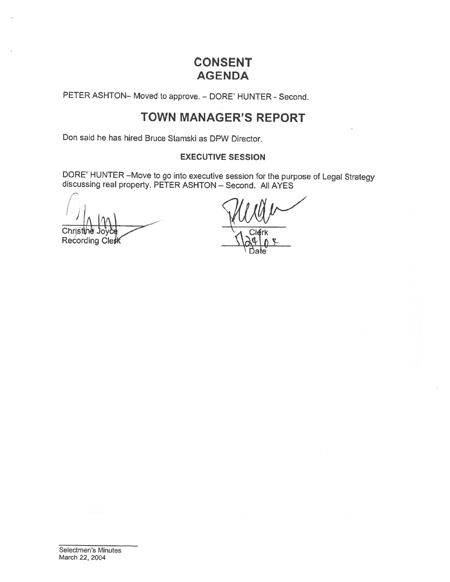# CONSENT AGENDA

PETER ASHTON- Moved to approve. - DORE' HUNTER - Second.

# TOWN MANAGER'S REPORT

Don said he has hired Bruce Stamski as DPW Director.

## EXECUTIVE SESSION

DORE' HUNTER —Move to go into executive session for the purpose of Legal Strategy discussing real property. PETER ASHTON — Second. All AYES

Chris Recording Clett

Date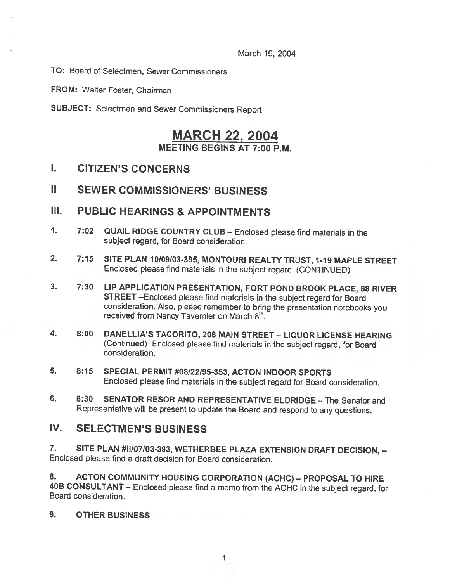March 19, 2004

TO: Board of Selectmen, Sewer Commissioners

FROM: Walter Foster, Chairman

SUBJECT: Selectmen and Sewer Commissioners Report

## MARCH 22, 2004 MEETING BEGINS AT 7:00 P.M.

- I. CITIZEN'S CONCERNS
- II SEWER COMMISSIONERS' BUSINESS
- II]. PUBLIC HEARINGS & APPOINTMENTS
- 1. 7:02 QUAIL RIDGE COUNTRY CLUB Enclosed <sup>p</sup>lease find materials in the subject regard, for Board consideration.
- 2. 7:15 SITE PLAN 10109/03-395, MONTOURI REALTY TRUST, 1-19 MAPLE STREET Enclosed <sup>p</sup>lease find materials in the subject regard. (CONTINUED)
- 3. 7:30 LIP APPLICATION PRESENTATION, FORT POND BROOK PLACE, <sup>68</sup> RIVER STREET —Enclosed <sup>p</sup>lease find materials in the subject regard for Board consideration. Also, <sup>p</sup>lease remember to bring the presentation notebooks you received from Nancy Tavernier on March 8th.
- 4. 8:00 DANELLIA'S TACORITO, <sup>208</sup> MAIN STREET LIQUOR LICENSE HEARiNG (Continued) Enclosed <sup>p</sup>lease find materials in the subject regard, for Board consideration.
- 5. 8:15 SPECIAL PERMIT #08122)95-353, ACTON INDOOR SPORTS Enclosed <sup>p</sup>lease find materials in the subject regard for Board consideration.
- 6. 8:30 SENATOR RESOR AND REPRESENTATIVE ELDRIDGE The Senator and Representative will be present to update the Board and respond to any questions.

## IV. SELECTMEN'S BUSINESS

7. SITE PLAN #11/07/03-393, WETHERBEE PLAZA EXTENSION DRAFT DECISION, -Enclosed please find <sup>a</sup> draft decision for Board consideration.

8. ACTON COMMUNITY HOUSING CORPORATION (ACHC) – PROPOSAL TO HIRE 40B CONSULTANT — Enclosed <sup>p</sup>lease find <sup>a</sup> memo from the ACHC in the subject regard, for Board consideration.

## 9. OTHER BUSiNESS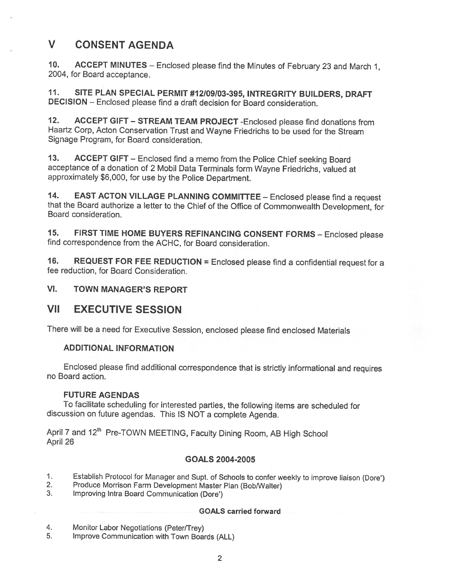# V CONSENT AGENDA

10. ACCEPT MINUTES — Enclosed <sup>p</sup>lease find the Minutes of February <sup>23</sup> and March 1, 2004, for Board acceptance.

11. SITE PLAN SPECIAL PERMIT #12/09/03-395, INTREGRITY BUILDERS, DRAFT DECISION — Enclosed <sup>p</sup>lease find <sup>a</sup> draft decision for Board consideration.

12. ACCEPT GIFT — STREAM TEAM PROJECT -Enclosed <sup>p</sup>lease find donations from Haartz Corp, Acton Conservation Trust and Wayne Friedrichs to be used for the Stream Signage Program, for Board consideration.

13. ACCEPT GIFT — Enclosed find <sup>a</sup> memo from the Police Chief seeking Board acceptance of <sup>a</sup> donation of <sup>2</sup> Mobil Data Terminals form Wayne Friedrichs, valued at approximately \$6,000, for use by the Police Department.

14. EAST ACTON VILLAGE PLANNING COMMITTEE - Enclosed please find a request that the Board authorize <sup>a</sup> letter to the Chief of the Office of Commonwealth Development, for Board consideration.

15. FIRST TIME HOME BUYERS REFINANCING CONSENT FORMS — Enclosed <sup>p</sup>lease find correspondence from the ACHC, for Board consideration.

16. REQUEST FOR FEE REDUCTION = Enclosed please find a confidential request for a fee reduction, for Board Consideration.

VI. TOWN MANAGER'S REPORT

## **VII EXECUTIVE SESSION**

There will be <sup>a</sup> need for Executive Session, enclosed <sup>p</sup>lease find enclosed Materials

### ADDITIONAL INFORMATION

Enclosed <sup>p</sup>lease find additional correspondence that is strictly informational and requires no Board action.

#### FUTURE AGENDAS

To facilitate scheduling for interested parties, the following items are scheduled for discussion on future agendas. This IS NOT <sup>a</sup> complete Agenda.

April 7 and 12<sup>th</sup> Pre-TOWN MEETING, Faculty Dining Room, AB High School April 26

### GOALS 2004-2005

- 1. Establish Protocol for Manager and Supt. of Schools to confer weekly to improve liaison (Dore')<br>2. Produce Morrison Farm Development Master Plan (Bob/Walter)<br>3. Improving Intra Board Communication (Dore')
- 
- Improving Intra Board Communication (Dore')

#### GOALS carried forward

- 4. Monitor Labor Negotiations (Peter/Trey)<br>5. Improve Communication with Town Boar
- Improve Communication with Town Boards (ALL)